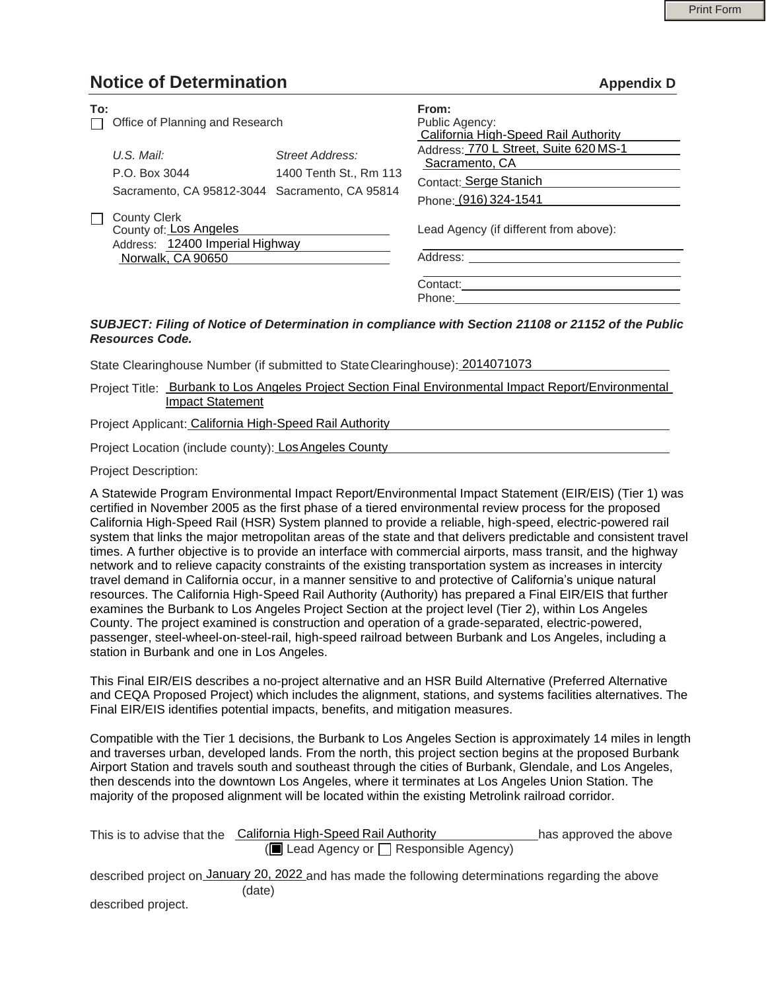## **Notice of Determination Appendix D**

| To:<br>$\Box$ | Office of Planning and Research                                                  |                                           | From:<br>Public Agency:<br>California High-Speed Rail Authority                                            |  |
|---------------|----------------------------------------------------------------------------------|-------------------------------------------|------------------------------------------------------------------------------------------------------------|--|
|               | U.S. Mail:<br>P.O. Box 3044<br>Sacramento, CA 95812-3044 Sacramento, CA 95814    | Street Address:<br>1400 Tenth St., Rm 113 | Address: 770 L Street, Suite 620 MS-1<br>Sacramento, CA<br>Contact: Serge Stanich<br>Phone: (916) 324-1541 |  |
| П             | <b>County Clerk</b><br>County of: Los Angeles<br>Address: 12400 Imperial Highway |                                           | Lead Agency (if different from above):                                                                     |  |
|               | Norwalk, CA 90650                                                                |                                           | Address:<br>Contact:<br>Phone:                                                                             |  |

## *SUBJECT: Filing of Notice of Determination in compliance with Section 21108 or 21152 of the Public Resources Code.*

State Clearinghouse Number (if submitted to StateClearinghouse): 2014071073

Project Title: Burbank to Los Angeles Project Section Final Environmental Impact Report/Environmental Impact Statement

Project Applicant: California High-Speed Rail Authority

Project Location (include county): Los Angeles County

Project Description:

A Statewide Program Environmental Impact Report/Environmental Impact Statement (EIR/EIS) (Tier 1) was certified in November 2005 as the first phase of a tiered environmental review process for the proposed California High-Speed Rail (HSR) System planned to provide a reliable, high-speed, electric-powered rail system that links the major metropolitan areas of the state and that delivers predictable and consistent travel times. A further objective is to provide an interface with commercial airports, mass transit, and the highway network and to relieve capacity constraints of the existing transportation system as increases in intercity travel demand in California occur, in a manner sensitive to and protective of California's unique natural resources. The California High-Speed Rail Authority (Authority) has prepared a Final EIR/EIS that further examines the Burbank to Los Angeles Project Section at the project level (Tier 2), within Los Angeles County. The project examined is construction and operation of a grade-separated, electric-powered, passenger, steel-wheel-on-steel-rail, high-speed railroad between Burbank and Los Angeles, including a station in Burbank and one in Los Angeles.

This Final EIR/EIS describes a no-project alternative and an HSR Build Alternative (Preferred Alternative and CEQA Proposed Project) which includes the alignment, stations, and systems facilities alternatives. The Final EIR/EIS identifies potential impacts, benefits, and mitigation measures.

Compatible with the Tier 1 decisions, the Burbank to Los Angeles Section is approximately 14 miles in length and traverses urban, developed lands. From the north, this project section begins at the proposed Burbank Airport Station and travels south and southeast through the cities of Burbank, Glendale, and Los Angeles, then descends into the downtown Los Angeles, where it terminates at Los Angeles Union Station. The majority of the proposed alignment will be located within the existing Metrolink railroad corridor.

| This is to advise that the                                                                          | California High-Speed Rail Authority | has approved the above |  |  |  |  |  |
|-----------------------------------------------------------------------------------------------------|--------------------------------------|------------------------|--|--|--|--|--|
| ( $\blacksquare$ Lead Agency or $\Box$ Responsible Agency)                                          |                                      |                        |  |  |  |  |  |
| described project on January 20, 2022 and has made the following determinations regarding the above |                                      |                        |  |  |  |  |  |
|                                                                                                     | (date)                               |                        |  |  |  |  |  |

described project.